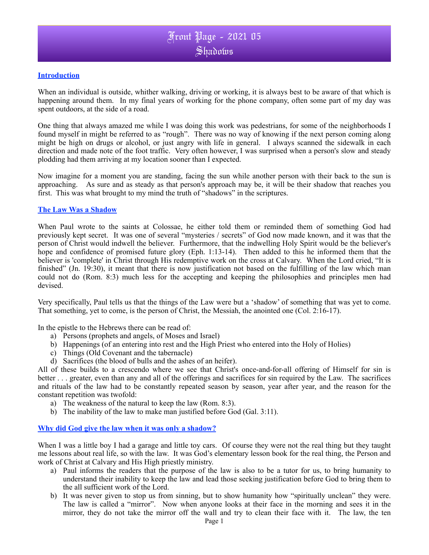# Front Page - 2021 05 Shadows

#### **Introduction**

When an individual is outside, whither walking, driving or working, it is always best to be aware of that which is happening around them. In my final years of working for the phone company, often some part of my day was spent outdoors, at the side of a road.

One thing that always amazed me while I was doing this work was pedestrians, for some of the neighborhoods I found myself in might be referred to as "rough". There was no way of knowing if the next person coming along might be high on drugs or alcohol, or just angry with life in general. I always scanned the sidewalk in each direction and made note of the foot traffic. Very often however, I was surprised when a person's slow and steady plodding had them arriving at my location sooner than I expected.

Now imagine for a moment you are standing, facing the sun while another person with their back to the sun is approaching. As sure and as steady as that person's approach may be, it will be their shadow that reaches you first. This was what brought to my mind the truth of "shadows" in the scriptures.

### **The Law Was a Shadow**

When Paul wrote to the saints at Colossae, he either told them or reminded them of something God had previously kept secret. It was one of several "mysteries / secrets" of God now made known, and it was that the person of Christ would indwell the believer. Furthermore, that the indwelling Holy Spirit would be the believer's hope and confidence of promised future glory (Eph. 1:13-14). Then added to this he informed them that the believer is 'complete' in Christ through His redemptive work on the cross at Calvary. When the Lord cried, "It is finished" (Jn. 19:30), it meant that there is now justification not based on the fulfilling of the law which man could not do (Rom. 8:3) much less for the accepting and keeping the philosophies and principles men had devised.

Very specifically, Paul tells us that the things of the Law were but a 'shadow' of something that was yet to come. That something, yet to come, is the person of Christ, the Messiah, the anointed one (Col. 2:16-17).

In the epistle to the Hebrews there can be read of:

- a) Persons (prophets and angels, of Moses and Israel)
- b) Happenings (of an entering into rest and the High Priest who entered into the Holy of Holies)
- c) Things (Old Covenant and the tabernacle)
- d) Sacrifices (the blood of bulls and the ashes of an heifer).

All of these builds to a crescendo where we see that Christ's once-and-for-all offering of Himself for sin is better . . . greater, even than any and all of the offerings and sacrifices for sin required by the Law. The sacrifices and rituals of the law had to be constantly repeated season by season, year after year, and the reason for the constant repetition was twofold:

- a) The weakness of the natural to keep the law (Rom. 8:3).
- b) The inability of the law to make man justified before God (Gal. 3:11).

#### **Why did God give the law when it was only a shadow?**

When I was a little boy I had a garage and little toy cars. Of course they were not the real thing but they taught me lessons about real life, so with the law. It was God's elementary lesson book for the real thing, the Person and work of Christ at Calvary and His High priestly ministry.

- a) Paul informs the readers that the purpose of the law is also to be a tutor for us, to bring humanity to understand their inability to keep the law and lead those seeking justification before God to bring them to the all sufficient work of the Lord.
- b) It was never given to stop us from sinning, but to show humanity how "spiritually unclean" they were. The law is called a "mirror". Now when anyone looks at their face in the morning and sees it in the mirror, they do not take the mirror off the wall and try to clean their face with it. The law, the ten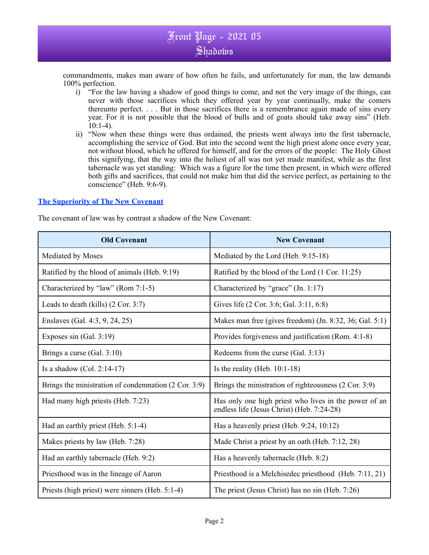# Front Page - 2021 05 Shadows

commandments, makes man aware of how often he fails, and unfortunately for man, the law demands 100% perfection.

- i) "For the law having a shadow of good things to come, and not the very image of the things, can never with those sacrifices which they offered year by year continually, make the comers thereunto perfect. . . . But in those sacrifices there is a remembrance again made of sins every year. For it is not possible that the blood of bulls and of goats should take away sins" (Heb.  $10:1-4$ ).
- ii) "Now when these things were thus ordained, the priests went always into the first tabernacle, accomplishing the service of God. But into the second went the high priest alone once every year, not without blood, which he offered for himself, and for the errors of the people: The Holy Ghost this signifying, that the way into the holiest of all was not yet made manifest, while as the first tabernacle was yet standing: Which was a figure for the time then present, in which were offered both gifts and sacrifices, that could not make him that did the service perfect, as pertaining to the conscience" (Heb. 9:6-9).

### **The Superiority of The New Covenant**

The covenant of law was by contrast a shadow of the New Covenant:

| <b>Old Covenant</b>                                  | <b>New Covenant</b>                                                                                 |
|------------------------------------------------------|-----------------------------------------------------------------------------------------------------|
| Mediated by Moses                                    | Mediated by the Lord (Heb. 9:15-18)                                                                 |
| Ratified by the blood of animals (Heb. 9:19)         | Ratified by the blood of the Lord (1 Cor. 11:25)                                                    |
| Characterized by "law" (Rom 7:1-5)                   | Characterized by "grace" (Jn. 1:17)                                                                 |
| Leads to death (kills) $(2 Cor. 3:7)$                | Gives life (2 Cor. 3:6; Gal. 3:11, 6:8)                                                             |
| Enslaves (Gal. 4:3, 9, 24, 25)                       | Makes man free (gives freedom) (Jn. 8:32, 36; Gal. 5:1)                                             |
| Exposes $sin(Gal. 3:19)$                             | Provides forgiveness and justification (Rom. 4:1-8)                                                 |
| Brings a curse (Gal. 3:10)                           | Redeems from the curse (Gal. 3:13)                                                                  |
| Is a shadow $(Col. 2:14-17)$                         | Is the reality (Heb. $10:1-18$ )                                                                    |
| Brings the ministration of condemnation (2 Cor. 3:9) | Brings the ministration of righteousness (2 Cor. 3:9)                                               |
| Had many high priests (Heb. 7:23)                    | Has only one high priest who lives in the power of an<br>endless life (Jesus Christ) (Heb. 7:24-28) |
| Had an earthly priest (Heb. 5:1-4)                   | Has a heavenly priest (Heb. 9:24, 10:12)                                                            |
| Makes priests by law (Heb. 7:28)                     | Made Christ a priest by an oath (Heb. 7:12, 28)                                                     |
| Had an earthly tabernacle (Heb. 9:2)                 | Has a heavenly tabernacle (Heb. 8:2)                                                                |
| Priesthood was in the lineage of Aaron               | Priesthood is a Melchisedec priesthood (Heb. 7:11, 21)                                              |
| Priests (high priest) were sinners (Heb. 5:1-4)      | The priest (Jesus Christ) has no sin (Heb. 7:26)                                                    |